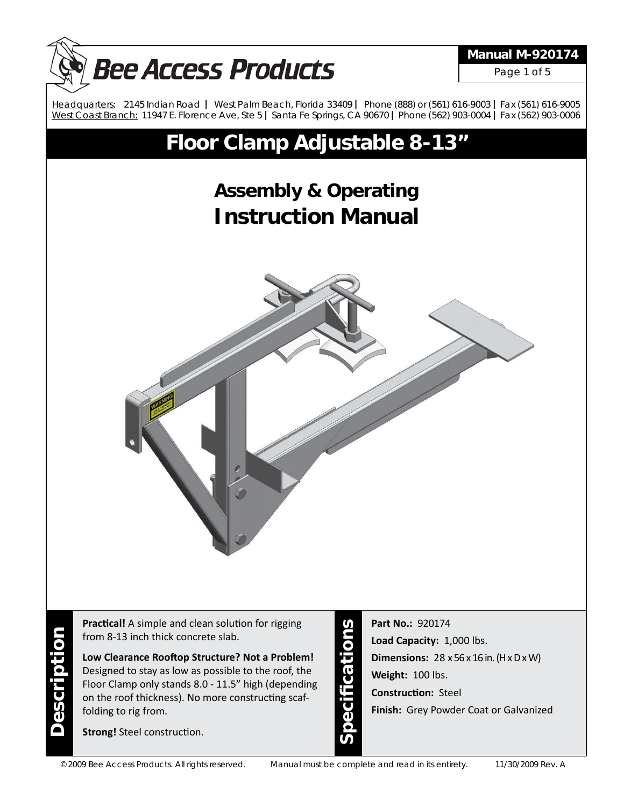

**Practical!** A simple and clean solution for rigging from 8-13 inch thick concrete slab.

**Low Clearance Rooft op Structure? Not a Problem!** Designed to stay as low as possible to the roof, the Floor Clamp only stands 8.0 - 11.5" high (depending on the roof thickness). No more constructing scaffolding to rig from.

**Strong!** Steel construction.

**Description**

**Description** 

**Speci fi cations**

**Part No.:** 920174 **Load Capacity:** 1,000 lbs. **Dimensions:** 28 x 56 x 16 in. (H x D x W) **Weight:** 100 lbs. **Constructi on:** Steel **Finish:** Grey Powder Coat or Galvanized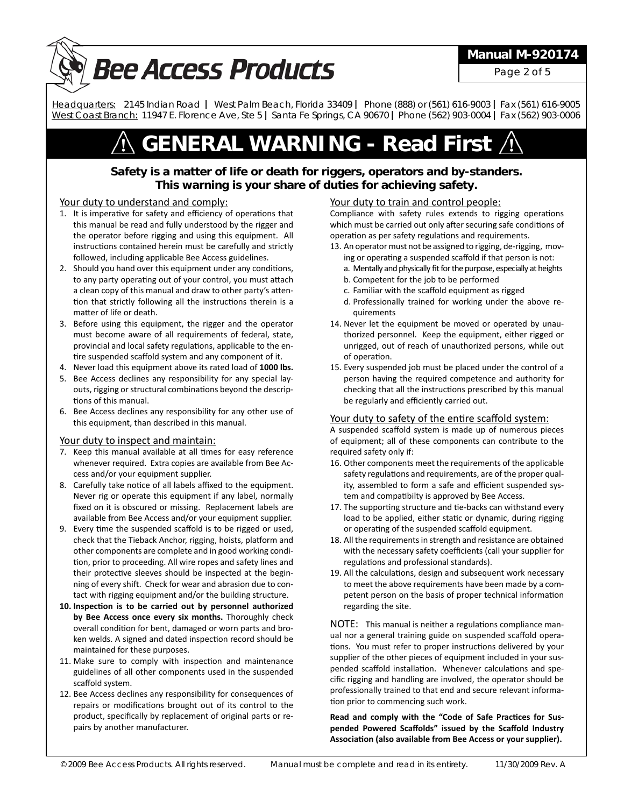

### **Manual M-920174**

Page 2 of 5

 *Headquarters:* 2145 Indian Road **|** West Palm Beach, Florida 33409 **|** Phone (888) or (561) 616-9003 **|** Fax (561) 616-9005 *West Coast Branch:* 11947 E. Florence Ave, Ste 5 **|** Santa Fe Springs, CA 90670 **|** Phone (562) 903-0004 **|** Fax (562) 903-0006

# **GENERAL WARNING - Read First**

### **Safety is a matter of life or death for riggers, operators and by-standers. This warning is your share of duties for achieving safety.**

#### Your duty to understand and comply:

- 1. It is imperative for safety and efficiency of operations that this manual be read and fully understood by the rigger and the operator before rigging and using this equipment. All instructions contained herein must be carefully and strictly followed, including applicable Bee Access guidelines.
- 2. Should you hand over this equipment under any conditions, to any party operating out of your control, you must attach a clean copy of this manual and draw to other party's attention that strictly following all the instructions therein is a matter of life or death.
- 3. Before using this equipment, the rigger and the operator must become aware of all requirements of federal, state, provincial and local safety regulations, applicable to the entire suspended scaffold system and any component of it.
- 4. Never load this equipment above its rated load of **1000 lbs.**
- 5. Bee Access declines any responsibility for any special layouts, rigging or structural combinations beyond the descriptions of this manual.
- 6. Bee Access declines any responsibility for any other use of this equipment, than described in this manual.

#### Your duty to inspect and maintain:

- 7. Keep this manual available at all times for easy reference whenever required. Extra copies are available from Bee Access and/or your equipment supplier.
- 8. Carefully take notice of all labels affixed to the equipment. Never rig or operate this equipment if any label, normally fixed on it is obscured or missing. Replacement labels are available from Bee Access and/or your equipment supplier.
- 9. Every time the suspended scaffold is to be rigged or used, check that the Tieback Anchor, rigging, hoists, platform and other components are complete and in good working condition, prior to proceeding. All wire ropes and safety lines and their protective sleeves should be inspected at the beginning of every shift. Check for wear and abrasion due to contact with rigging equipment and/or the building structure.
- 10. Inspection is to be carried out by personnel authorized **by Bee Access once every six months.** Thoroughly check overall condition for bent, damaged or worn parts and broken welds. A signed and dated inspection record should be maintained for these purposes.
- 11. Make sure to comply with inspection and maintenance guidelines of all other components used in the suspended scaffold system.
- 12. Bee Access declines any responsibility for consequences of repairs or modifications brought out of its control to the product, specifically by replacement of original parts or repairs by another manufacturer.

#### Your duty to train and control people:

Compliance with safety rules extends to rigging operations which must be carried out only after securing safe conditions of operation as per safety regulations and requirements.

- 13. An operator must not be assigned to rigging, de-rigging, moving or operating a suspended scaffold if that person is not:
	- a. Mentally and physically fit for the purpose, especially at heights
	- b. Competent for the job to be performed
	- c. Familiar with the scaffold equipment as rigged
	- d. Professionally trained for working under the above requirements
- 14. Never let the equipment be moved or operated by unauthorized personnel. Keep the equipment, either rigged or unrigged, out of reach of unauthorized persons, while out of operation.
- 15. Every suspended job must be placed under the control of a person having the required competence and authority for checking that all the instructions prescribed by this manual be regularly and efficiently carried out.

#### Your duty to safety of the entire scaffold system:

A suspended scaffold system is made up of numerous pieces of equipment; all of these components can contribute to the required safety only if:

- 16. Other components meet the requirements of the applicable safety regulations and requirements, are of the proper quality, assembled to form a safe and efficient suspended system and compatibilty is approved by Bee Access.
- 17. The supporting structure and tie-backs can withstand every load to be applied, either static or dynamic, during rigging or operating of the suspended scaffold equipment.
- 18. All the requirements in strength and resistance are obtained with the necessary safety coefficients (call your supplier for regulations and professional standards).
- 19. All the calculations, design and subsequent work necessary to meet the above requirements have been made by a competent person on the basis of proper technical information regarding the site.

NOTE: This manual is neither a regulations compliance manual nor a general training guide on suspended scaffold operations. You must refer to proper instructions delivered by your supplier of the other pieces of equipment included in your suspended scaffold installation. Whenever calculations and specific rigging and handling are involved, the operator should be professionally trained to that end and secure relevant information prior to commencing such work.

Read and comply with the "Code of Safe Practices for Sus**pended Powered Scaff olds" issued by the Scaff old Industry Associati on (also available from Bee Access or your supplier).**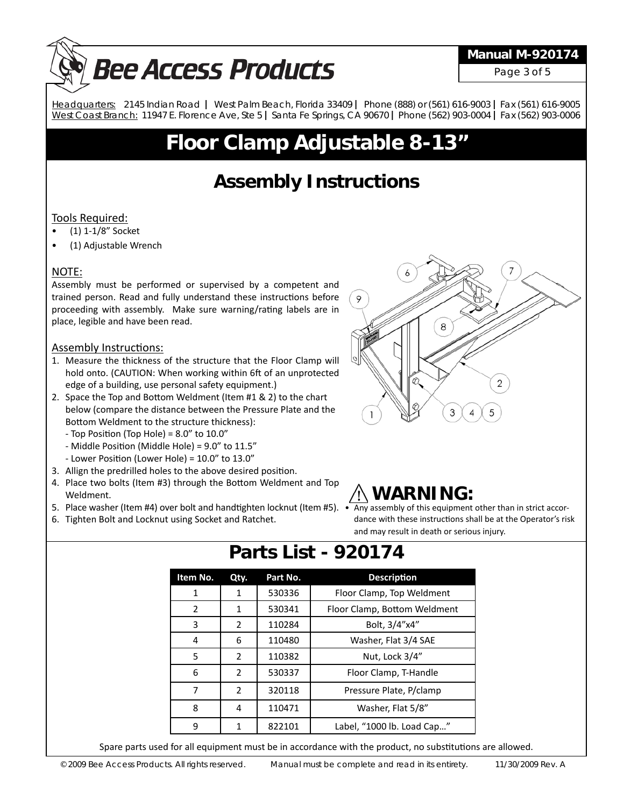# **Bee Access Products**

## **Manual M-920174**

Page 3 of 5

 *Headquarters:* 2145 Indian Road **|** West Palm Beach, Florida 33409 **|** Phone (888) or (561) 616-9003 **|** Fax (561) 616-9005 *West Coast Branch:* 11947 E. Florence Ave, Ste 5 **|** Santa Fe Springs, CA 90670 **|** Phone (562) 903-0004 **|** Fax (562) 903-0006

# **Floor Clamp Adjustable 8-13"**

# **Assembly Instructions**

### Tools Required:

- (1) 1-1/8" Socket
- (1) Adjustable Wrench

### NOTE:

Assembly must be performed or supervised by a competent and trained person. Read and fully understand these instructions before proceeding with assembly. Make sure warning/rating labels are in place, legible and have been read.

### Assembly Instructions:

- 1. Measure the thickness of the structure that the Floor Clamp will hold onto. (CAUTION: When working within 6ft of an unprotected edge of a building, use personal safety equipment.)
- 2. Space the Top and Bottom Weldment (Item #1 & 2) to the chart below (compare the distance between the Pressure Plate and the Bottom Weldment to the structure thickness):
	- Top Position (Top Hole) =  $8.0''$  to  $10.0''$
	- Middle Position (Middle Hole) =  $9.0$ " to  $11.5$ "
	- Lower Position (Lower Hole) =  $10.0$ " to  $13.0$ "
- 3. Allign the predrilled holes to the above desired position.
- 4. Place two bolts (Item #3) through the Bottom Weldment and Top Weldment.
- 5. Place washer (Item #4) over bolt and handtighten locknut (Item #5). Any assembly of this equipment other than in strict accor-
- 6. Tighten Bolt and Locknut using Socket and Ratchet.



# **WARNING:**

dance with these instructions shall be at the Operator's risk and may result in death or serious injury.

| Item No. | Qty.           | Part No. | <b>Description</b>           |
|----------|----------------|----------|------------------------------|
| 1        | 1              | 530336   | Floor Clamp, Top Weldment    |
| 2        | 1              | 530341   | Floor Clamp, Bottom Weldment |
| 3        | 2              | 110284   | Bolt, 3/4"x4"                |
| 4        | 6              | 110480   | Washer, Flat 3/4 SAE         |
| 5.       | $\overline{2}$ | 110382   | Nut, Lock 3/4"               |
| 6        | $\mathfrak{p}$ | 530337   | Floor Clamp, T-Handle        |
| 7        | $\overline{2}$ | 320118   | Pressure Plate, P/clamp      |
| 8        | 4              | 110471   | Washer, Flat 5/8"            |
| 9        | 1              | 822101   | Label, "1000 lb. Load Cap"   |

# **Parts List - 920174**

Spare parts used for all equipment must be in accordance with the product, no substitutions are allowed.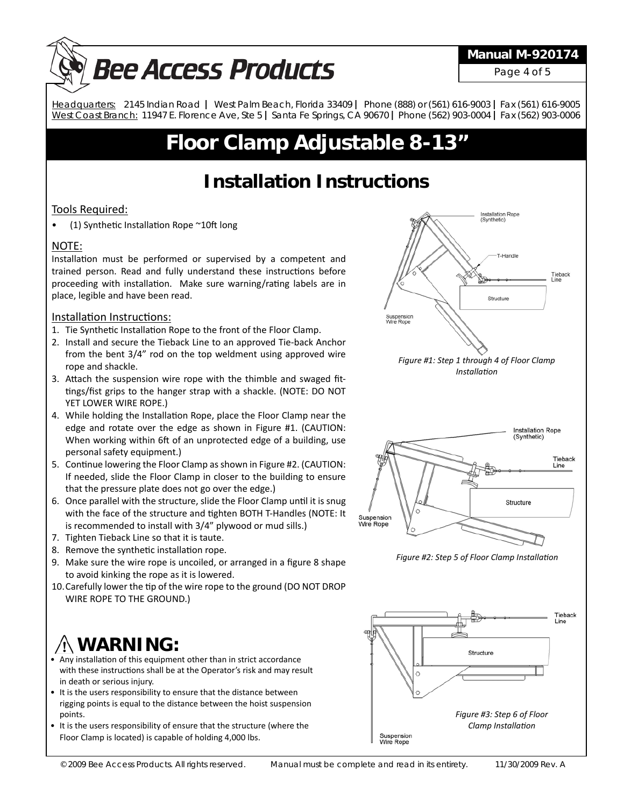# **Bee Access Products**

### **Manual M-920174**

Page 4 of 5

 *Headquarters:* 2145 Indian Road **|** West Palm Beach, Florida 33409 **|** Phone (888) or (561) 616-9003 **|** Fax (561) 616-9005 *West Coast Branch:* 11947 E. Florence Ave, Ste 5 **|** Santa Fe Springs, CA 90670 **|** Phone (562) 903-0004 **|** Fax (562) 903-0006

# **Floor Clamp Adjustable 8-13"**

# **Installation Instructions**

### Tools Required:

• (1) Synthetic Installation Rope  $\sim$  10ft long

### NOTE:

Installation must be performed or supervised by a competent and trained person. Read and fully understand these instructions before proceeding with installation. Make sure warning/rating labels are in place, legible and have been read.

### Installation Instructions:

- 1. Tie Synthetic Installation Rope to the front of the Floor Clamp.
- 2. Install and secure the Tieback Line to an approved Tie-back Anchor from the bent 3/4" rod on the top weldment using approved wire rope and shackle.
- 3. Attach the suspension wire rope with the thimble and swaged fittings/fist grips to the hanger strap with a shackle. (NOTE: DO NOT YET LOWER WIRE ROPE.)
- 4. While holding the Installation Rope, place the Floor Clamp near the edge and rotate over the edge as shown in Figure #1. (CAUTION: When working within 6ft of an unprotected edge of a building, use personal safety equipment.)
- 5. Continue lowering the Floor Clamp as shown in Figure #2. (CAUTION: If needed, slide the Floor Clamp in closer to the building to ensure that the pressure plate does not go over the edge.)
- 6. Once parallel with the structure, slide the Floor Clamp until it is snug with the face of the structure and tighten BOTH T-Handles (NOTE: It is recommended to install with 3/4" plywood or mud sills.)
- 7. Tighten Tieback Line so that it is taute.
- 8. Remove the synthetic installation rope.
- 9. Make sure the wire rope is uncoiled, or arranged in a figure 8 shape to avoid kinking the rope as it is lowered.
- 10. Carefully lower the tip of the wire rope to the ground (DO NOT DROP WIRE ROPE TO THE GROUND.)

# **WARNING:**

- Any installation of this equipment other than in strict accordance with these instructions shall be at the Operator's risk and may result in death or serious injury.
- It is the users responsibility to ensure that the distance between rigging points is equal to the distance between the hoist suspension points.
- It is the users responsibility of ensure that the structure (where the Floor Clamp is located) is capable of holding 4,000 lbs.



Suspension<br>Wire Rope